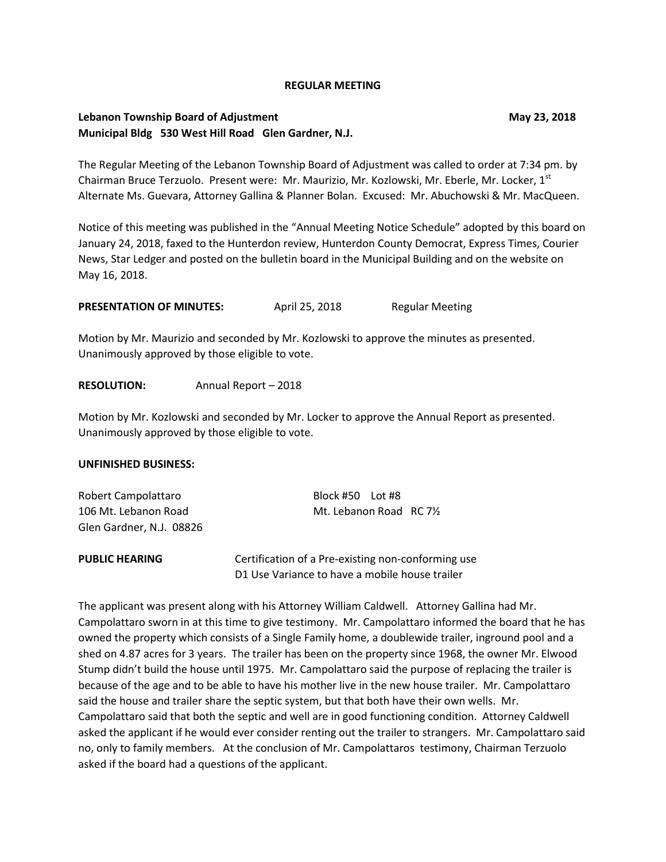#### **REGULAR MEETING**

## **Lebanon Township Board of Adjustment May 23, 2018 Municipal Bldg 530 West Hill Road Glen Gardner, N.J.**

The Regular Meeting of the Lebanon Township Board of Adjustment was called to order at 7:34 pm. by Chairman Bruce Terzuolo. Present were: Mr. Maurizio, Mr. Kozlowski, Mr. Eberle, Mr. Locker, 1st Alternate Ms. Guevara, Attorney Gallina & Planner Bolan. Excused: Mr. Abuchowski & Mr. MacQueen.

Notice of this meeting was published in the "Annual Meeting Notice Schedule" adopted by this board on January 24, 2018, faxed to the Hunterdon review, Hunterdon County Democrat, Express Times, Courier News, Star Ledger and posted on the bulletin board in the Municipal Building and on the website on May 16, 2018.

**PRESENTATION OF MINUTES:** April 25, 2018 Regular Meeting

Motion by Mr. Maurizio and seconded by Mr. Kozlowski to approve the minutes as presented. Unanimously approved by those eligible to vote.

### **RESOLUTION:** Annual Report – 2018

Motion by Mr. Kozlowski and seconded by Mr. Locker to approve the Annual Report as presented. Unanimously approved by those eligible to vote.

#### **UNFINISHED BUSINESS:**

| Robert Campolattaro      | Block #50 Lot #8                                   |  |  |
|--------------------------|----------------------------------------------------|--|--|
| 106 Mt. Lebanon Road     | Mt. Lebanon Road RC 71/2                           |  |  |
| Glen Gardner, N.J. 08826 |                                                    |  |  |
| <b>PUBLIC HEARING</b>    | Certification of a Pre-existing non-conforming use |  |  |
|                          | D1 Use Variance to have a mobile house trailer     |  |  |

The applicant was present along with his Attorney William Caldwell. Attorney Gallina had Mr. Campolattaro sworn in at this time to give testimony. Mr. Campolattaro informed the board that he has owned the property which consists of a Single Family home, a doublewide trailer, inground pool and a shed on 4.87 acres for 3 years. The trailer has been on the property since 1968, the owner Mr. Elwood Stump didn't build the house until 1975. Mr. Campolattaro said the purpose of replacing the trailer is because of the age and to be able to have his mother live in the new house trailer. Mr. Campolattaro said the house and trailer share the septic system, but that both have their own wells. Mr. Campolattaro said that both the septic and well are in good functioning condition. Attorney Caldwell asked the applicant if he would ever consider renting out the trailer to strangers. Mr. Campolattaro said no, only to family members. At the conclusion of Mr. Campolattaros testimony, Chairman Terzuolo asked if the board had a questions of the applicant.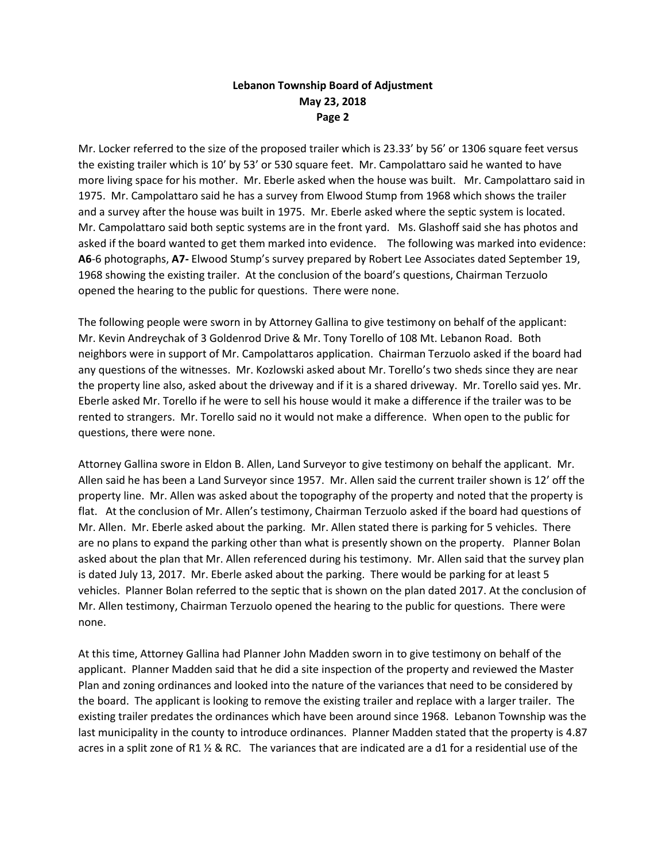Mr. Locker referred to the size of the proposed trailer which is 23.33' by 56' or 1306 square feet versus the existing trailer which is 10' by 53' or 530 square feet. Mr. Campolattaro said he wanted to have more living space for his mother. Mr. Eberle asked when the house was built. Mr. Campolattaro said in 1975. Mr. Campolattaro said he has a survey from Elwood Stump from 1968 which shows the trailer and a survey after the house was built in 1975. Mr. Eberle asked where the septic system is located. Mr. Campolattaro said both septic systems are in the front yard. Ms. Glashoff said she has photos and asked if the board wanted to get them marked into evidence. The following was marked into evidence: **A6**-6 photographs, **A7-** Elwood Stump's survey prepared by Robert Lee Associates dated September 19, 1968 showing the existing trailer. At the conclusion of the board's questions, Chairman Terzuolo opened the hearing to the public for questions. There were none.

The following people were sworn in by Attorney Gallina to give testimony on behalf of the applicant: Mr. Kevin Andreychak of 3 Goldenrod Drive & Mr. Tony Torello of 108 Mt. Lebanon Road. Both neighbors were in support of Mr. Campolattaros application. Chairman Terzuolo asked if the board had any questions of the witnesses. Mr. Kozlowski asked about Mr. Torello's two sheds since they are near the property line also, asked about the driveway and if it is a shared driveway. Mr. Torello said yes. Mr. Eberle asked Mr. Torello if he were to sell his house would it make a difference if the trailer was to be rented to strangers. Mr. Torello said no it would not make a difference. When open to the public for questions, there were none.

Attorney Gallina swore in Eldon B. Allen, Land Surveyor to give testimony on behalf the applicant. Mr. Allen said he has been a Land Surveyor since 1957. Mr. Allen said the current trailer shown is 12' off the property line. Mr. Allen was asked about the topography of the property and noted that the property is flat. At the conclusion of Mr. Allen's testimony, Chairman Terzuolo asked if the board had questions of Mr. Allen. Mr. Eberle asked about the parking. Mr. Allen stated there is parking for 5 vehicles. There are no plans to expand the parking other than what is presently shown on the property. Planner Bolan asked about the plan that Mr. Allen referenced during his testimony. Mr. Allen said that the survey plan is dated July 13, 2017. Mr. Eberle asked about the parking. There would be parking for at least 5 vehicles. Planner Bolan referred to the septic that is shown on the plan dated 2017. At the conclusion of Mr. Allen testimony, Chairman Terzuolo opened the hearing to the public for questions. There were none.

At this time, Attorney Gallina had Planner John Madden sworn in to give testimony on behalf of the applicant. Planner Madden said that he did a site inspection of the property and reviewed the Master Plan and zoning ordinances and looked into the nature of the variances that need to be considered by the board. The applicant is looking to remove the existing trailer and replace with a larger trailer. The existing trailer predates the ordinances which have been around since 1968. Lebanon Township was the last municipality in the county to introduce ordinances. Planner Madden stated that the property is 4.87 acres in a split zone of R1 ½ & RC. The variances that are indicated are a d1 for a residential use of the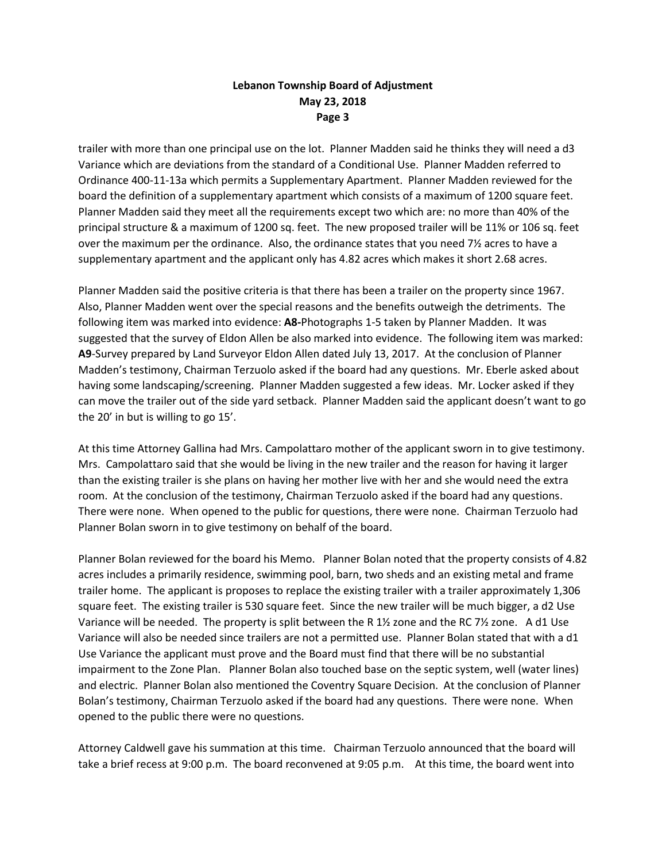trailer with more than one principal use on the lot. Planner Madden said he thinks they will need a d3 Variance which are deviations from the standard of a Conditional Use. Planner Madden referred to Ordinance 400-11-13a which permits a Supplementary Apartment. Planner Madden reviewed for the board the definition of a supplementary apartment which consists of a maximum of 1200 square feet. Planner Madden said they meet all the requirements except two which are: no more than 40% of the principal structure & a maximum of 1200 sq. feet. The new proposed trailer will be 11% or 106 sq. feet over the maximum per the ordinance. Also, the ordinance states that you need 7½ acres to have a supplementary apartment and the applicant only has 4.82 acres which makes it short 2.68 acres.

Planner Madden said the positive criteria is that there has been a trailer on the property since 1967. Also, Planner Madden went over the special reasons and the benefits outweigh the detriments. The following item was marked into evidence: **A8-**Photographs 1-5 taken by Planner Madden. It was suggested that the survey of Eldon Allen be also marked into evidence. The following item was marked: **A9**-Survey prepared by Land Surveyor Eldon Allen dated July 13, 2017. At the conclusion of Planner Madden's testimony, Chairman Terzuolo asked if the board had any questions. Mr. Eberle asked about having some landscaping/screening. Planner Madden suggested a few ideas. Mr. Locker asked if they can move the trailer out of the side yard setback. Planner Madden said the applicant doesn't want to go the 20' in but is willing to go 15'.

At this time Attorney Gallina had Mrs. Campolattaro mother of the applicant sworn in to give testimony. Mrs. Campolattaro said that she would be living in the new trailer and the reason for having it larger than the existing trailer is she plans on having her mother live with her and she would need the extra room. At the conclusion of the testimony, Chairman Terzuolo asked if the board had any questions. There were none. When opened to the public for questions, there were none. Chairman Terzuolo had Planner Bolan sworn in to give testimony on behalf of the board.

Planner Bolan reviewed for the board his Memo. Planner Bolan noted that the property consists of 4.82 acres includes a primarily residence, swimming pool, barn, two sheds and an existing metal and frame trailer home. The applicant is proposes to replace the existing trailer with a trailer approximately 1,306 square feet. The existing trailer is 530 square feet. Since the new trailer will be much bigger, a d2 Use Variance will be needed. The property is split between the R 1½ zone and the RC 7½ zone. A d1 Use Variance will also be needed since trailers are not a permitted use. Planner Bolan stated that with a d1 Use Variance the applicant must prove and the Board must find that there will be no substantial impairment to the Zone Plan. Planner Bolan also touched base on the septic system, well (water lines) and electric. Planner Bolan also mentioned the Coventry Square Decision. At the conclusion of Planner Bolan's testimony, Chairman Terzuolo asked if the board had any questions. There were none. When opened to the public there were no questions.

Attorney Caldwell gave his summation at this time. Chairman Terzuolo announced that the board will take a brief recess at 9:00 p.m. The board reconvened at 9:05 p.m. At this time, the board went into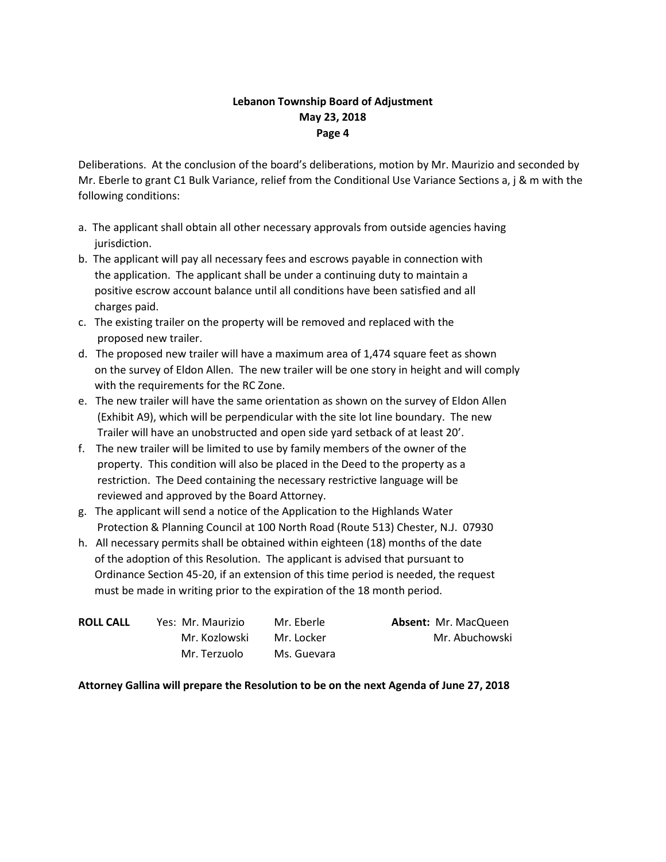Deliberations. At the conclusion of the board's deliberations, motion by Mr. Maurizio and seconded by Mr. Eberle to grant C1 Bulk Variance, relief from the Conditional Use Variance Sections a, j & m with the following conditions:

- a. The applicant shall obtain all other necessary approvals from outside agencies having jurisdiction.
- b. The applicant will pay all necessary fees and escrows payable in connection with the application. The applicant shall be under a continuing duty to maintain a positive escrow account balance until all conditions have been satisfied and all charges paid.
- c. The existing trailer on the property will be removed and replaced with the proposed new trailer.
- d. The proposed new trailer will have a maximum area of 1,474 square feet as shown on the survey of Eldon Allen. The new trailer will be one story in height and will comply with the requirements for the RC Zone.
- e. The new trailer will have the same orientation as shown on the survey of Eldon Allen (Exhibit A9), which will be perpendicular with the site lot line boundary. The new Trailer will have an unobstructed and open side yard setback of at least 20'.
- f. The new trailer will be limited to use by family members of the owner of the property. This condition will also be placed in the Deed to the property as a restriction. The Deed containing the necessary restrictive language will be reviewed and approved by the Board Attorney.
- g. The applicant will send a notice of the Application to the Highlands Water Protection & Planning Council at 100 North Road (Route 513) Chester, N.J. 07930
- h. All necessary permits shall be obtained within eighteen (18) months of the date of the adoption of this Resolution. The applicant is advised that pursuant to Ordinance Section 45-20, if an extension of this time period is needed, the request must be made in writing prior to the expiration of the 18 month period.

| <b>ROLL CALL</b> | Yes: Mr. Maurizio | Mr. Eberle  | <b>Absent: Mr. MacQueen</b> |
|------------------|-------------------|-------------|-----------------------------|
|                  | Mr. Kozlowski     | Mr. Locker  | Mr. Abuchowski              |
|                  | Mr. Terzuolo      | Ms. Guevara |                             |

### **Attorney Gallina will prepare the Resolution to be on the next Agenda of June 27, 2018**